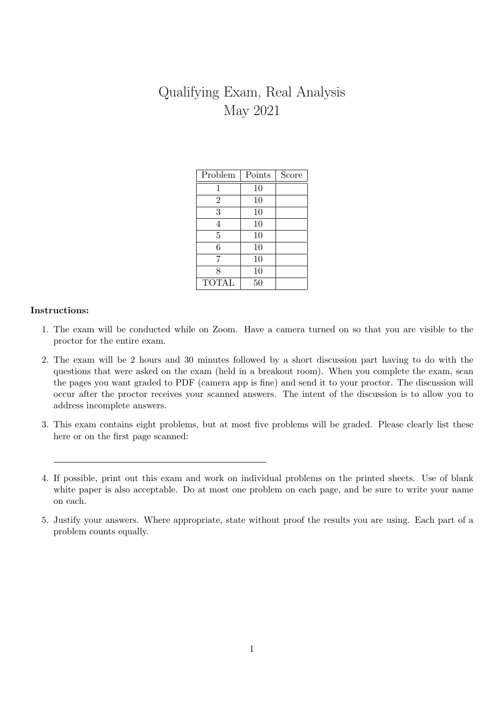# Qualifying Exam, Real Analysis May 2021

| Problem        | Points | Score |
|----------------|--------|-------|
| 1              | 10     |       |
| $\overline{2}$ | 10     |       |
| 3              | 10     |       |
| 4              | 10     |       |
| $\overline{5}$ | 10     |       |
| 6              | 10     |       |
| 7              | 10     |       |
| 8              | 10     |       |
| <b>TOTAL</b>   | 50     |       |

# Instructions:

- 1. The exam will be conducted while on Zoom. Have a camera turned on so that you are visible to the proctor for the entire exam.
- 2. The exam will be 2 hours and 30 minutes followed by a short discussion part having to do with the questions that were asked on the exam (held in a breakout room). When you complete the exam, scan the pages you want graded to PDF (camera app is fine) and send it to your proctor. The discussion will occur after the proctor receives your scanned answers. The intent of the discussion is to allow you to address incomplete answers.
- 3. This exam contains eight problems, but at most five problems will be graded. Please clearly list these here or on the first page scanned:

<sup>4.</sup> If possible, print out this exam and work on individual problems on the printed sheets. Use of blank white paper is also acceptable. Do at most one problem on each page, and be sure to write your name on each.

<sup>5.</sup> Justify your answers. Where appropriate, state without proof the results you are using. Each part of a problem counts equally.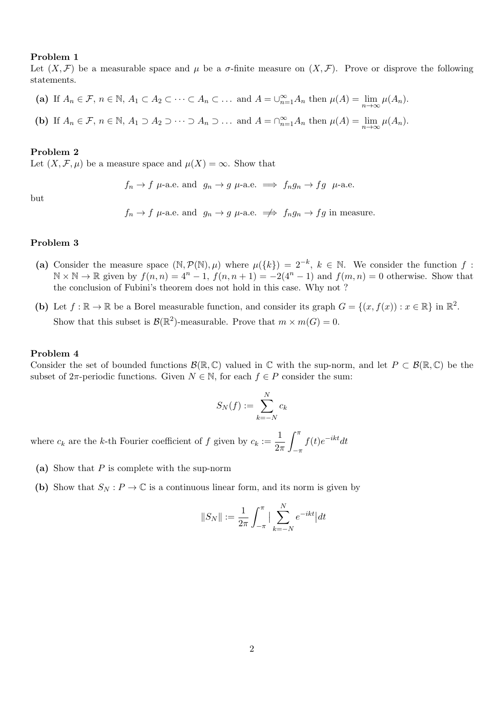#### Problem 1

Let  $(X, \mathcal{F})$  be a measurable space and  $\mu$  be a  $\sigma$ -finite measure on  $(X, \mathcal{F})$ . Prove or disprove the following statements.

- (a) If  $A_n \in \mathcal{F}$ ,  $n \in \mathbb{N}$ ,  $A_1 \subset A_2 \subset \cdots \subset A_n \subset \cdots$  and  $A = \bigcup_{n=1}^{\infty} A_n$  then  $\mu(A) = \lim_{n \to \infty} \mu(A_n)$ .
- (b) If  $A_n \in \mathcal{F}$ ,  $n \in \mathbb{N}$ ,  $A_1 \supset A_2 \supset \cdots \supset A_n \supset \ldots$  and  $A = \bigcap_{n=1}^{\infty} A_n$  then  $\mu(A) = \lim_{n \to \infty} \mu(A_n)$ .

#### Problem 2

Let  $(X, \mathcal{F}, \mu)$  be a measure space and  $\mu(X) = \infty$ . Show that

 $f_n \to f$   $\mu$ -a.e. and  $g_n \to g$   $\mu$ -a.e.  $\implies f_n g_n \to fg$   $\mu$ -a.e.

but

 $f_n \to f$   $\mu$ -a.e. and  $g_n \to g$   $\mu$ -a.e.  $\implies f_n g_n \to fg$  in measure.

### Problem 3

- (a) Consider the measure space  $(\mathbb{N}, \mathcal{P}(\mathbb{N}), \mu)$  where  $\mu({k}) = 2^{-k}, k \in \mathbb{N}$ . We consider the function f:  $\mathbb{N} \times \mathbb{N} \to \mathbb{R}$  given by  $f(n,n) = 4^n - 1$ ,  $f(n,n+1) = -2(4^n - 1)$  and  $f(m,n) = 0$  otherwise. Show that the conclusion of Fubini's theorem does not hold in this case. Why not ?
- (b) Let  $f : \mathbb{R} \to \mathbb{R}$  be a Borel measurable function, and consider its graph  $G = \{(x, f(x)) : x \in \mathbb{R}\}\$ in  $\mathbb{R}^2$ . Show that this subset is  $\mathcal{B}(\mathbb{R}^2)$ -measurable. Prove that  $m \times m(G) = 0$ .

#### Problem 4

Consider the set of bounded functions  $\mathcal{B}(\mathbb{R}, \mathbb{C})$  valued in  $\mathbb{C}$  with the sup-norm, and let  $P \subset \mathcal{B}(\mathbb{R}, \mathbb{C})$  be the subset of  $2\pi$ -periodic functions. Given  $N \in \mathbb{N}$ , for each  $f \in P$  consider the sum:

$$
S_N(f) := \sum_{k=-N}^N c_k
$$

where  $c_k$  are the k-th Fourier coefficient of f given by  $c_k := \frac{1}{2}$  $2\pi$  $\int_0^\pi$  $-\pi$  $f(t)e^{-ikt}dt$ 

- (a) Show that  $P$  is complete with the sup-norm
- (b) Show that  $S_N : P \to \mathbb{C}$  is a continuous linear form, and its norm is given by

$$
||S_N|| := \frac{1}{2\pi} \int_{-\pi}^{\pi} \Big| \sum_{k=-N}^{N} e^{-ikt} \Big| dt
$$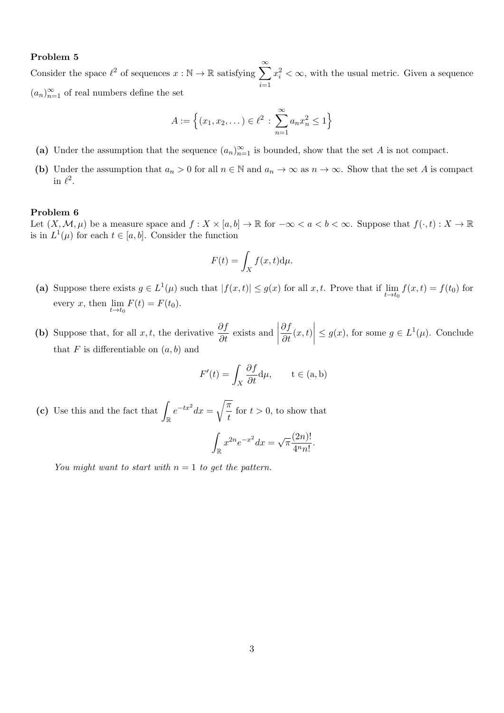# Problem 5

Consider the space  $\ell^2$  of sequences  $x : \mathbb{N} \to \mathbb{R}$  satisfying  $\sum_{n=1}^{\infty}$  $\frac{i=1}{i}$  $x_i^2 < \infty$ , with the usual metric. Given a sequence  $(a_n)_{n=1}^{\infty}$  of real numbers define the set

$$
A := \left\{ (x_1, x_2, \dots) \in \ell^2 \, : \, \sum_{n=1}^{\infty} a_n x_n^2 \le 1 \right\}
$$

- (a) Under the assumption that the sequence  $(a_n)_{n=1}^{\infty}$  is bounded, show that the set A is not compact.
- (b) Under the assumption that  $a_n > 0$  for all  $n \in \mathbb{N}$  and  $a_n \to \infty$  as  $n \to \infty$ . Show that the set A is compact in  $\ell^2$ .

# Problem 6

Let  $(X, \mathcal{M}, \mu)$  be a measure space and  $f : X \times [a, b] \to \mathbb{R}$  for  $-\infty < a < b < \infty$ . Suppose that  $f(\cdot, t) : X \to \mathbb{R}$ is in  $L^1(\mu)$  for each  $t \in [a, b]$ . Consider the function

$$
F(t) = \int_X f(x, t) \mathrm{d}\mu.
$$

- (a) Suppose there exists  $g \in L^1(\mu)$  such that  $|f(x,t)| \le g(x)$  for all  $x, t$ . Prove that if  $\lim_{t \to t_0} f(x,t) = f(t_0)$  for every x, then  $\lim_{t \to t_0} F(t) = F(t_0)$ .
- (b) Suppose that, for all x, t, the derivative  $\frac{\partial f}{\partial t}$  exists and  $\frac{\partial f}{\partial t}(x,t)$  $\leq g(x)$ , for some  $g \in L^1(\mu)$ . Conclude that  $F$  is differentiable on  $(a, b)$  and

$$
F'(t) = \int_X \frac{\partial f}{\partial t} \, \mathrm{d}\mu, \qquad t \in (a, b)
$$

(c) Use this and the fact that  $\int_{\mathbb{R}} e^{-tx^2} dx =$  $\sqrt{\pi}$  $\frac{1}{t}$  for  $t > 0$ , to show that

$$
\int_{\mathbb{R}} x^{2n} e^{-x^2} dx = \sqrt{\pi} \frac{(2n)!}{4^n n!}
$$

.

You might want to start with  $n = 1$  to get the pattern.